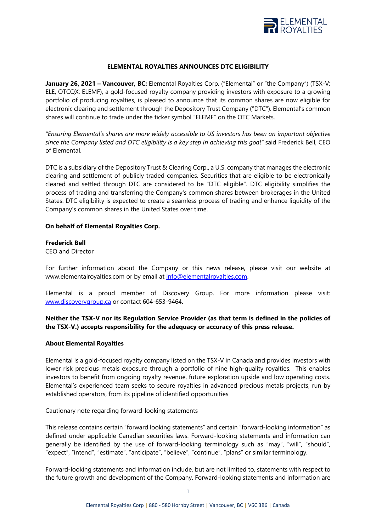

## **ELEMENTAL ROYALTIES ANNOUNCES DTC ELIGIBILITY**

**January 26, 2021 – Vancouver, BC:** Elemental Royalties Corp. ("Elemental" or "the Company") (TSX-V: ELE, OTCQX: ELEMF), a gold-focused royalty company providing investors with exposure to a growing portfolio of producing royalties, is pleased to announce that its common shares are now eligible for electronic clearing and settlement through the Depository Trust Company ("DTC"). Elemental's common shares will continue to trade under the ticker symbol "ELEMF" on the OTC Markets.

*"Ensuring Elemental's shares are more widely accessible to US investors has been an important objective since the Company listed and DTC eligibility is a key step in achieving this goal"* said Frederick Bell, CEO of Elemental.

DTC is a subsidiary of the Depository Trust & Clearing Corp., a U.S. company that manages the electronic clearing and settlement of publicly traded companies. Securities that are eligible to be electronically cleared and settled through DTC are considered to be "DTC eligible". DTC eligibility simplifies the process of trading and transferring the Company's common shares between brokerages in the United States. DTC eligibility is expected to create a seamless process of trading and enhance liquidity of the Company's common shares in the United States over time.

## **On behalf of Elemental Royalties Corp.**

#### **Frederick Bell**

CEO and Director

For further information about the Company or this news release, please visit our website at www.elementalroyalties.com or by email at [info@elementalroyalties.com.](mailto:info@elementalroyalties.com) 

Elemental is a proud member of Discovery Group. For more information please visit: [www.discoverygroup.ca](http://www.discoverygroup.ca/) or contact 604-653-9464.

# **Neither the TSX-V nor its Regulation Service Provider (as that term is defined in the policies of the TSX-V.) accepts responsibility for the adequacy or accuracy of this press release.**

## **About Elemental Royalties**

Elemental is a gold-focused royalty company listed on the TSX-V in Canada and provides investors with lower risk precious metals exposure through a portfolio of nine high-quality royalties. This enables investors to benefit from ongoing royalty revenue, future exploration upside and low operating costs. Elemental's experienced team seeks to secure royalties in advanced precious metals projects, run by established operators, from its pipeline of identified opportunities.

Cautionary note regarding forward-looking statements

This release contains certain "forward looking statements" and certain "forward-looking information" as defined under applicable Canadian securities laws. Forward-looking statements and information can generally be identified by the use of forward-looking terminology such as "may", "will", "should", "expect", "intend", "estimate", "anticipate", "believe", "continue", "plans" or similar terminology.

Forward-looking statements and information include, but are not limited to, statements with respect to the future growth and development of the Company. Forward-looking statements and information are